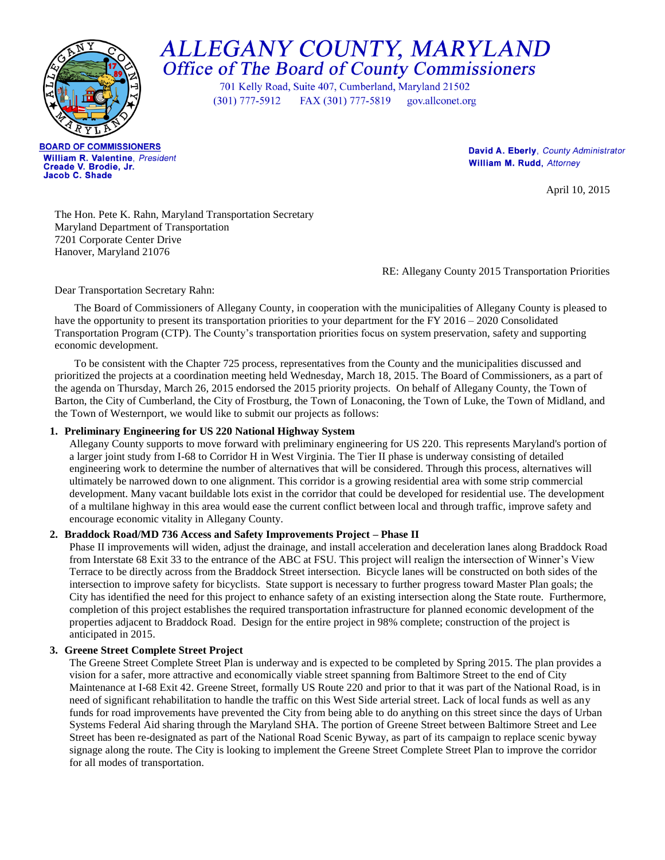

# ALLEGANY COUNTY, MARYLAND Office of The Board of County Commissioners

701 Kelly Road, Suite 407, Cumberland, Maryland 21502  $(301)$  777-5912 FAX (301) 777-5819 gov.allconet.org

**BOARD OF COMMISSIONERS** William R. Valentine, President Creade V. Brodie, Jr. Jacob C. Shade

David A. Eberly, County Administrator **William M. Rudd**, Attorney

April 10, 2015

The Hon. Pete K. Rahn, Maryland Transportation Secretary Maryland Department of Transportation 7201 Corporate Center Drive Hanover, Maryland 21076

RE: Allegany County 2015 Transportation Priorities

Dear Transportation Secretary Rahn:

The Board of Commissioners of Allegany County, in cooperation with the municipalities of Allegany County is pleased to have the opportunity to present its transportation priorities to your department for the FY 2016 – 2020 Consolidated Transportation Program (CTP). The County's transportation priorities focus on system preservation, safety and supporting economic development.

To be consistent with the Chapter 725 process, representatives from the County and the municipalities discussed and prioritized the projects at a coordination meeting held Wednesday, March 18, 2015. The Board of Commissioners, as a part of the agenda on Thursday, March 26, 2015 endorsed the 2015 priority projects. On behalf of Allegany County, the Town of Barton, the City of Cumberland, the City of Frostburg, the Town of Lonaconing, the Town of Luke, the Town of Midland, and the Town of Westernport, we would like to submit our projects as follows:

## **1. Preliminary Engineering for US 220 National Highway System**

Allegany County supports to move forward with preliminary engineering for US 220. This represents Maryland's portion of a larger joint study from I-68 to Corridor H in West Virginia. The Tier II phase is underway consisting of detailed engineering work to determine the number of alternatives that will be considered. Through this process, alternatives will ultimately be narrowed down to one alignment. This corridor is a growing residential area with some strip commercial development. Many vacant buildable lots exist in the corridor that could be developed for residential use. The development of a multilane highway in this area would ease the current conflict between local and through traffic, improve safety and encourage economic vitality in Allegany County.

## **2. Braddock Road/MD 736 Access and Safety Improvements Project – Phase II**

Phase II improvements will widen, adjust the drainage, and install acceleration and deceleration lanes along Braddock Road from Interstate 68 Exit 33 to the entrance of the ABC at FSU. This project will realign the intersection of Winner's View Terrace to be directly across from the Braddock Street intersection. Bicycle lanes will be constructed on both sides of the intersection to improve safety for bicyclists. State support is necessary to further progress toward Master Plan goals; the City has identified the need for this project to enhance safety of an existing intersection along the State route. Furthermore, completion of this project establishes the required transportation infrastructure for planned economic development of the properties adjacent to Braddock Road. Design for the entire project in 98% complete; construction of the project is anticipated in 2015.

## **3. Greene Street Complete Street Project**

The Greene Street Complete Street Plan is underway and is expected to be completed by Spring 2015. The plan provides a vision for a safer, more attractive and economically viable street spanning from Baltimore Street to the end of City Maintenance at I-68 Exit 42. Greene Street, formally US Route 220 and prior to that it was part of the National Road, is in need of significant rehabilitation to handle the traffic on this West Side arterial street. Lack of local funds as well as any funds for road improvements have prevented the City from being able to do anything on this street since the days of Urban Systems Federal Aid sharing through the Maryland SHA. The portion of Greene Street between Baltimore Street and Lee Street has been re-designated as part of the National Road Scenic Byway, as part of its campaign to replace scenic byway signage along the route. The City is looking to implement the Greene Street Complete Street Plan to improve the corridor for all modes of transportation.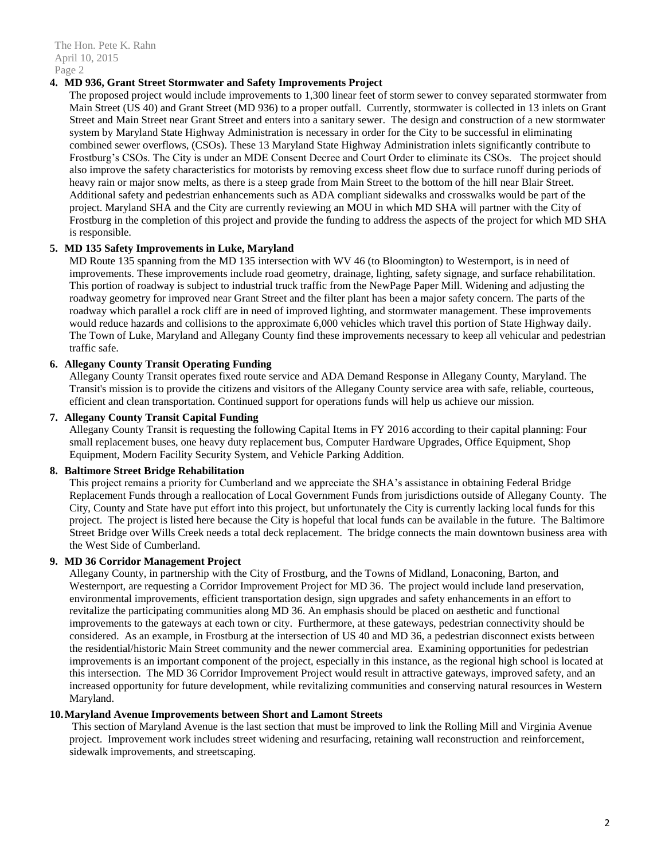The Hon. Pete K. Rahn April 10, 2015 Page 2

## **4. MD 936, Grant Street Stormwater and Safety Improvements Project**

The proposed project would include improvements to 1,300 linear feet of storm sewer to convey separated stormwater from Main Street (US 40) and Grant Street (MD 936) to a proper outfall. Currently, stormwater is collected in 13 inlets on Grant Street and Main Street near Grant Street and enters into a sanitary sewer. The design and construction of a new stormwater system by Maryland State Highway Administration is necessary in order for the City to be successful in eliminating combined sewer overflows, (CSOs). These 13 Maryland State Highway Administration inlets significantly contribute to Frostburg's CSOs. The City is under an MDE Consent Decree and Court Order to eliminate its CSOs. The project should also improve the safety characteristics for motorists by removing excess sheet flow due to surface runoff during periods of heavy rain or major snow melts, as there is a steep grade from Main Street to the bottom of the hill near Blair Street. Additional safety and pedestrian enhancements such as ADA compliant sidewalks and crosswalks would be part of the project. Maryland SHA and the City are currently reviewing an MOU in which MD SHA will partner with the City of Frostburg in the completion of this project and provide the funding to address the aspects of the project for which MD SHA is responsible.

# **5. MD 135 Safety Improvements in Luke, Maryland**

MD Route 135 spanning from the MD 135 intersection with WV 46 (to Bloomington) to Westernport, is in need of improvements. These improvements include road geometry, drainage, lighting, safety signage, and surface rehabilitation. This portion of roadway is subject to industrial truck traffic from the NewPage Paper Mill. Widening and adjusting the roadway geometry for improved near Grant Street and the filter plant has been a major safety concern. The parts of the roadway which parallel a rock cliff are in need of improved lighting, and stormwater management. These improvements would reduce hazards and collisions to the approximate 6,000 vehicles which travel this portion of State Highway daily. The Town of Luke, Maryland and Allegany County find these improvements necessary to keep all vehicular and pedestrian traffic safe.

# **6. Allegany County Transit Operating Funding**

Allegany County Transit operates fixed route service and ADA Demand Response in Allegany County, Maryland. The Transit's mission is to provide the citizens and visitors of the Allegany County service area with safe, reliable, courteous, efficient and clean transportation. Continued support for operations funds will help us achieve our mission.

# **7. Allegany County Transit Capital Funding**

Allegany County Transit is requesting the following Capital Items in FY 2016 according to their capital planning: Four small replacement buses, one heavy duty replacement bus, Computer Hardware Upgrades, Office Equipment, Shop Equipment, Modern Facility Security System, and Vehicle Parking Addition.

## **8. Baltimore Street Bridge Rehabilitation**

This project remains a priority for Cumberland and we appreciate the SHA's assistance in obtaining Federal Bridge Replacement Funds through a reallocation of Local Government Funds from jurisdictions outside of Allegany County. The City, County and State have put effort into this project, but unfortunately the City is currently lacking local funds for this project. The project is listed here because the City is hopeful that local funds can be available in the future. The Baltimore Street Bridge over Wills Creek needs a total deck replacement. The bridge connects the main downtown business area with the West Side of Cumberland.

## **9. MD 36 Corridor Management Project**

Allegany County, in partnership with the City of Frostburg, and the Towns of Midland, Lonaconing, Barton, and Westernport, are requesting a Corridor Improvement Project for MD 36. The project would include land preservation, environmental improvements, efficient transportation design, sign upgrades and safety enhancements in an effort to revitalize the participating communities along MD 36. An emphasis should be placed on aesthetic and functional improvements to the gateways at each town or city. Furthermore, at these gateways, pedestrian connectivity should be considered. As an example, in Frostburg at the intersection of US 40 and MD 36, a pedestrian disconnect exists between the residential/historic Main Street community and the newer commercial area. Examining opportunities for pedestrian improvements is an important component of the project, especially in this instance, as the regional high school is located at this intersection. The MD 36 Corridor Improvement Project would result in attractive gateways, improved safety, and an increased opportunity for future development, while revitalizing communities and conserving natural resources in Western Maryland.

## **10.Maryland Avenue Improvements between Short and Lamont Streets**

This section of Maryland Avenue is the last section that must be improved to link the Rolling Mill and Virginia Avenue project. Improvement work includes street widening and resurfacing, retaining wall reconstruction and reinforcement, sidewalk improvements, and streetscaping.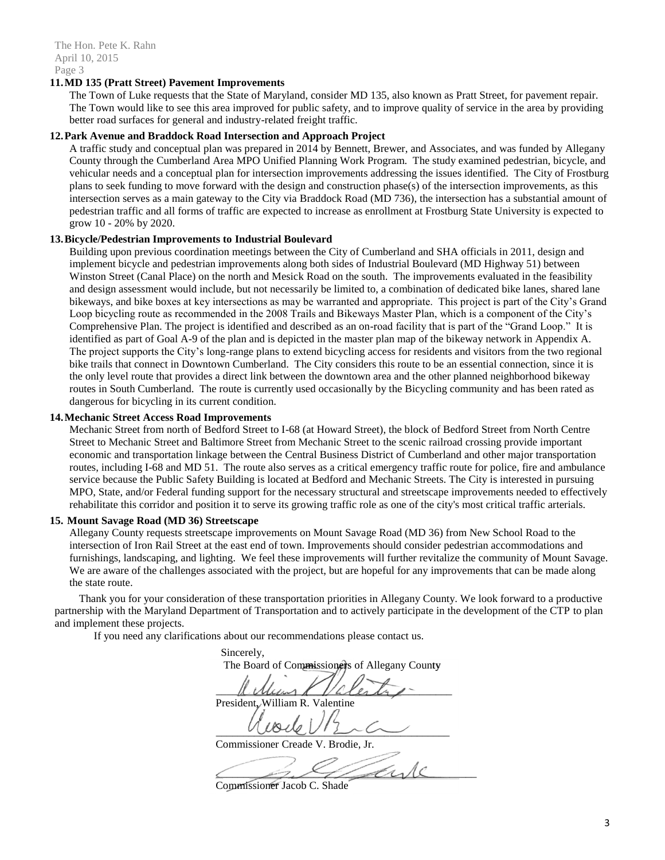#### **11.MD 135 (Pratt Street) Pavement Improvements**

The Town of Luke requests that the State of Maryland, consider MD 135, also known as Pratt Street, for pavement repair. The Town would like to see this area improved for public safety, and to improve quality of service in the area by providing better road surfaces for general and industry-related freight traffic.

#### **12.Park Avenue and Braddock Road Intersection and Approach Project**

A traffic study and conceptual plan was prepared in 2014 by Bennett, Brewer, and Associates, and was funded by Allegany County through the Cumberland Area MPO Unified Planning Work Program. The study examined pedestrian, bicycle, and vehicular needs and a conceptual plan for intersection improvements addressing the issues identified. The City of Frostburg plans to seek funding to move forward with the design and construction phase(s) of the intersection improvements, as this intersection serves as a main gateway to the City via Braddock Road (MD 736), the intersection has a substantial amount of pedestrian traffic and all forms of traffic are expected to increase as enrollment at Frostburg State University is expected to grow 10 - 20% by 2020.

#### **13.Bicycle/Pedestrian Improvements to Industrial Boulevard**

Building upon previous coordination meetings between the City of Cumberland and SHA officials in 2011, design and implement bicycle and pedestrian improvements along both sides of Industrial Boulevard (MD Highway 51) between Winston Street (Canal Place) on the north and Mesick Road on the south. The improvements evaluated in the feasibility and design assessment would include, but not necessarily be limited to, a combination of dedicated bike lanes, shared lane bikeways, and bike boxes at key intersections as may be warranted and appropriate. This project is part of the City's Grand Loop bicycling route as recommended in the 2008 Trails and Bikeways Master Plan, which is a component of the City's Comprehensive Plan. The project is identified and described as an on-road facility that is part of the "Grand Loop." It is identified as part of Goal A-9 of the plan and is depicted in the master plan map of the bikeway network in Appendix A. The project supports the City's long-range plans to extend bicycling access for residents and visitors from the two regional bike trails that connect in Downtown Cumberland. The City considers this route to be an essential connection, since it is the only level route that provides a direct link between the downtown area and the other planned neighborhood bikeway routes in South Cumberland. The route is currently used occasionally by the Bicycling community and has been rated as dangerous for bicycling in its current condition.

#### **14.Mechanic Street Access Road Improvements**

Mechanic Street from north of Bedford Street to I-68 (at Howard Street), the block of Bedford Street from North Centre Street to Mechanic Street and Baltimore Street from Mechanic Street to the scenic railroad crossing provide important economic and transportation linkage between the Central Business District of Cumberland and other major transportation routes, including I-68 and MD 51. The route also serves as a critical emergency traffic route for police, fire and ambulance service because the Public Safety Building is located at Bedford and Mechanic Streets. The City is interested in pursuing MPO, State, and/or Federal funding support for the necessary structural and streetscape improvements needed to effectively rehabilitate this corridor and position it to serve its growing traffic role as one of the city's most critical traffic arterials.

## **15. Mount Savage Road (MD 36) Streetscape**

Allegany County requests streetscape improvements on Mount Savage Road (MD 36) from New School Road to the intersection of Iron Rail Street at the east end of town. Improvements should consider pedestrian accommodations and furnishings, landscaping, and lighting. We feel these improvements will further revitalize the community of Mount Savage. We are aware of the challenges associated with the project, but are hopeful for any improvements that can be made along the state route.

Thank you for your consideration of these transportation priorities in Allegany County. We look forward to a productive partnership with the Maryland Department of Transportation and to actively participate in the development of the CTP to plan and implement these projects.

If you need any clarifications about our recommendations please contact us.

Sincerely, The Board of Commissioners of Allegany County  $M$ ulun $M$  /alerty -President, William R. Valentine  $UUUUUU$ Commissioner Creade V. Brodie, Jr.  $\angle$  property

Commissioner Jacob C. Shade